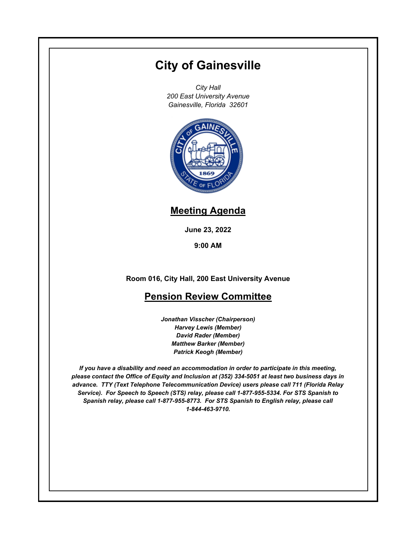## **City of Gainesville**

*City Hall 200 East University Avenue Gainesville, Florida 32601*



## **Meeting Agenda**

**June 23, 2022**

**9:00 AM**

**Room 016, City Hall, 200 East University Avenue**

## **Pension Review Committee**

*Jonathan Visscher (Chairperson) Harvey Lewis (Member) David Rader (Member) Matthew Barker (Member) Patrick Keogh (Member)*

*If you have a disability and need an accommodation in order to participate in this meeting, please contact the Office of Equity and Inclusion at (352) 334-5051 at least two business days in advance. TTY (Text Telephone Telecommunication Device) users please call 711 (Florida Relay Service). For Speech to Speech (STS) relay, please call 1-877-955-5334. For STS Spanish to Spanish relay, please call 1-877-955-8773. For STS Spanish to English relay, please call 1-844-463-9710.*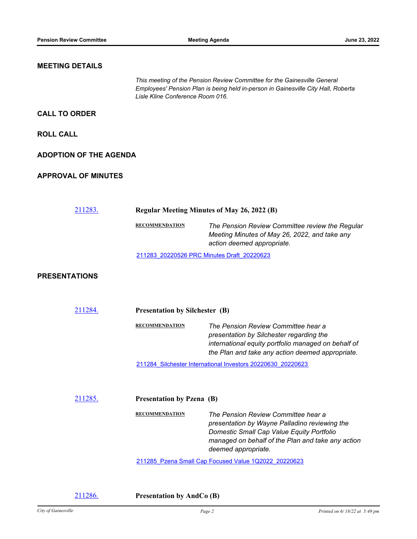## **MEETING DETAILS** *This meeting of the Pension Review Committee for the Gainesville General Employees' Pension Plan is being held in-person in Gainesville City Hall, Roberta Lisle Kline Conference Room 016.* **CALL TO ORDER ROLL CALL ADOPTION OF THE AGENDA APPROVAL OF MINUTES** [211283.](http://gainesville.legistar.com/gateway.aspx?m=l&id=/matter.aspx?key=34065) **Regular Meeting Minutes of May 26, 2022 (B) RECOMMENDATION** *The Pension Review Committee review the Regular Meeting Minutes of May 26, 2022, and take any action deemed appropriate.* [211283\\_20220526 PRC Minutes Draft\\_20220623](http://Gainesville.legistar.com/gateway.aspx?M=F&ID=c1bf2afb-1972-408e-862d-c57a56561964.pdf) **PRESENTATIONS** [211284.](http://gainesville.legistar.com/gateway.aspx?m=l&id=/matter.aspx?key=34066) **Presentation by Silchester (B) RECOMMENDATION** *The Pension Review Committee hear a presentation by Silchester regarding the international equity portfolio managed on behalf of the Plan and take any action deemed appropriate.* [211284\\_Silchester International Investors 20220630\\_20220623](http://Gainesville.legistar.com/gateway.aspx?M=F&ID=16f7d8e1-c9a5-4ca8-bf52-1d61db91c3ed.pdf) [211285.](http://gainesville.legistar.com/gateway.aspx?m=l&id=/matter.aspx?key=34067) **Presentation by Pzena (B) RECOMMENDATION** *The Pension Review Committee hear a presentation by Wayne Palladino reviewing the Domestic Small Cap Value Equity Portfolio managed on behalf of the Plan and take any action deemed appropriate.* [211285\\_Pzena Small Cap Focused Value 1Q2022\\_20220623](http://Gainesville.legistar.com/gateway.aspx?M=F&ID=cdedc643-eda1-4edd-ae36-4f3f07685959.pdf)

[211286.](http://gainesville.legistar.com/gateway.aspx?m=l&id=/matter.aspx?key=34068) **Presentation by AndCo (B)**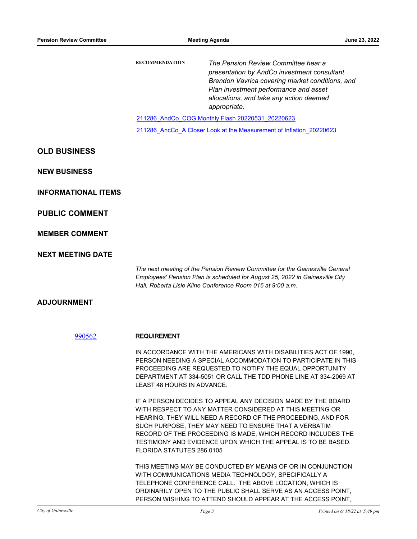|                            | <b>RECOMMENDATION</b>                                               | The Pension Review Committee hear a<br>presentation by AndCo investment consultant<br>Brendon Vavrica covering market conditions, and<br>Plan investment performance and asset<br>allocations, and take any action deemed<br>appropriate.                                                                                                                                       |
|----------------------------|---------------------------------------------------------------------|---------------------------------------------------------------------------------------------------------------------------------------------------------------------------------------------------------------------------------------------------------------------------------------------------------------------------------------------------------------------------------|
|                            | 211286 AndCo COG Monthly Flash 20220531 20220623                    |                                                                                                                                                                                                                                                                                                                                                                                 |
|                            | 211286 AncCo A Closer Look at the Measurement of Inflation 20220623 |                                                                                                                                                                                                                                                                                                                                                                                 |
| <b>OLD BUSINESS</b>        |                                                                     |                                                                                                                                                                                                                                                                                                                                                                                 |
| <b>NEW BUSINESS</b>        |                                                                     |                                                                                                                                                                                                                                                                                                                                                                                 |
| <b>INFORMATIONAL ITEMS</b> |                                                                     |                                                                                                                                                                                                                                                                                                                                                                                 |
| <b>PUBLIC COMMENT</b>      |                                                                     |                                                                                                                                                                                                                                                                                                                                                                                 |
| <b>MEMBER COMMENT</b>      |                                                                     |                                                                                                                                                                                                                                                                                                                                                                                 |
| <b>NEXT MEETING DATE</b>   |                                                                     |                                                                                                                                                                                                                                                                                                                                                                                 |
|                            |                                                                     | The next meeting of the Pension Review Committee for the Gainesville General<br>Employees' Pension Plan is scheduled for August 25, 2022 in Gainesville City<br>Hall, Roberta Lisle Kline Conference Room 016 at 9:00 a.m.                                                                                                                                                      |
| <b>ADJOURNMENT</b>         |                                                                     |                                                                                                                                                                                                                                                                                                                                                                                 |
| 990562                     | <b>REQUIREMENT</b>                                                  |                                                                                                                                                                                                                                                                                                                                                                                 |
|                            | LEAST 48 HOURS IN ADVANCE.                                          | IN ACCORDANCE WITH THE AMERICANS WITH DISABILITIES ACT OF 1990,<br>PERSON NEEDING A SPECIAL ACCOMMODATION TO PARTICIPATE IN THIS<br>PROCEEDING ARE REQUESTED TO NOTIFY THE EQUAL OPPORTUNITY<br>DEPARTMENT AT 334-5051 OR CALL THE TDD PHONE LINE AT 334-2069 AT                                                                                                                |
|                            | FLORIDA STATUTES 286.0105                                           | IF A PERSON DECIDES TO APPEAL ANY DECISION MADE BY THE BOARD<br>WITH RESPECT TO ANY MATTER CONSIDERED AT THIS MEETING OR<br>HEARING, THEY WILL NEED A RECORD OF THE PROCEEDING, AND FOR<br>SUCH PURPOSE, THEY MAY NEED TO ENSURE THAT A VERBATIM<br>RECORD OF THE PROCEEDING IS MADE, WHICH RECORD INCLUDES THE<br>TESTIMONY AND EVIDENCE UPON WHICH THE APPEAL IS TO BE BASED. |
|                            |                                                                     | THIS MEETING MAY BE CONDUCTED BY MEANS OF OR IN CONJUNCTION<br>WITH COMMUNICATIONS MEDIA TECHNOLOGY, SPECIFICALLY A<br>TELEPHONE CONFERENCE CALL. THE ABOVE LOCATION, WHICH IS<br>ORDINARILY OPEN TO THE PUBLIC SHALL SERVE AS AN ACCESS POINT,<br>PERSON WISHING TO ATTEND SHOULD APPEAR AT THE ACCESS POINT,                                                                  |